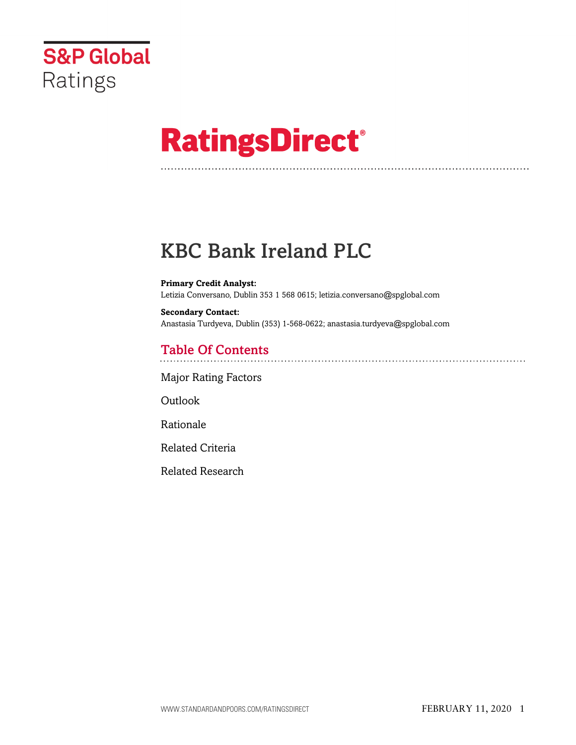

# **RatingsDirect®**

# KBC Bank Ireland PLC

**Primary Credit Analyst:** Letizia Conversano, Dublin 353 1 568 0615; letizia.conversano@spglobal.com

**Secondary Contact:** Anastasia Turdyeva, Dublin (353) 1-568-0622; anastasia.turdyeva@spglobal.com

# Table Of Contents

[Major Rating Factors](#page-1-0)

Outlook

[Rationale](#page-2-0)

[Related Criteria](#page-13-0)

[Related Research](#page-14-0)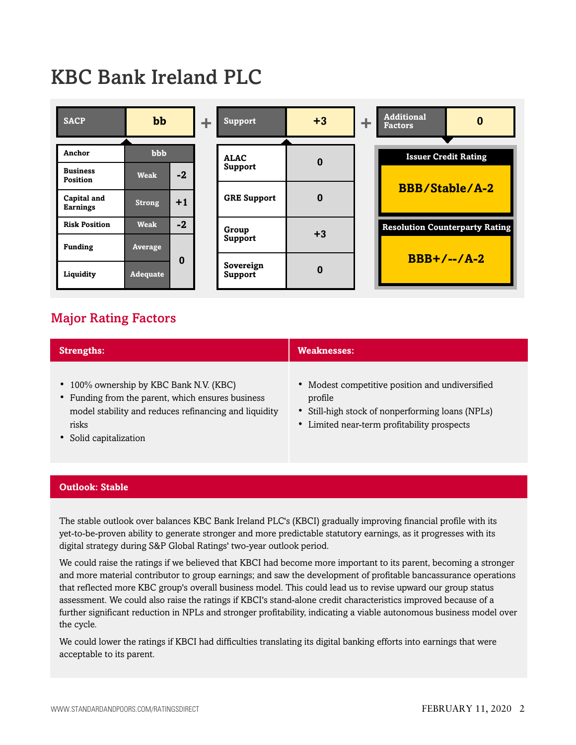# KBC Bank Ireland PLC



# <span id="page-1-0"></span>Major Rating Factors

| <b>Strengths:</b>                                                                                                                                                                        | <b>Weaknesses:</b>                                                                                                                                            |
|------------------------------------------------------------------------------------------------------------------------------------------------------------------------------------------|---------------------------------------------------------------------------------------------------------------------------------------------------------------|
| • 100% ownership by KBC Bank N.V. (KBC)<br>• Funding from the parent, which ensures business<br>model stability and reduces refinancing and liquidity<br>risks<br>• Solid capitalization | • Modest competitive position and undiversified<br>profile<br>• Still-high stock of nonperforming loans (NPLs)<br>• Limited near-term profitability prospects |

#### **Outlook: Stable**

The stable outlook over balances KBC Bank Ireland PLC's (KBCI) gradually improving financial profile with its yet-to-be-proven ability to generate stronger and more predictable statutory earnings, as it progresses with its digital strategy during S&P Global Ratings' two-year outlook period.

We could raise the ratings if we believed that KBCI had become more important to its parent, becoming a stronger and more material contributor to group earnings; and saw the development of profitable bancassurance operations that reflected more KBC group's overall business model. This could lead us to revise upward our group status assessment. We could also raise the ratings if KBCI's stand-alone credit characteristics improved because of a further significant reduction in NPLs and stronger profitability, indicating a viable autonomous business model over the cycle.

We could lower the ratings if KBCI had difficulties translating its digital banking efforts into earnings that were acceptable to its parent.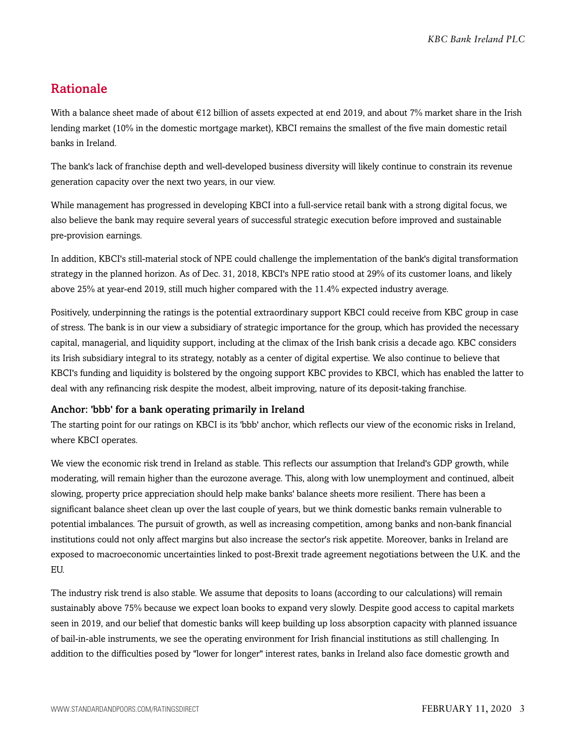# <span id="page-2-0"></span>Rationale

With a balance sheet made of about €12 billion of assets expected at end 2019, and about 7% market share in the Irish lending market (10% in the domestic mortgage market), KBCI remains the smallest of the five main domestic retail banks in Ireland.

The bank's lack of franchise depth and well-developed business diversity will likely continue to constrain its revenue generation capacity over the next two years, in our view.

While management has progressed in developing KBCI into a full-service retail bank with a strong digital focus, we also believe the bank may require several years of successful strategic execution before improved and sustainable pre-provision earnings.

In addition, KBCI's still-material stock of NPE could challenge the implementation of the bank's digital transformation strategy in the planned horizon. As of Dec. 31, 2018, KBCI's NPE ratio stood at 29% of its customer loans, and likely above 25% at year-end 2019, still much higher compared with the 11.4% expected industry average.

Positively, underpinning the ratings is the potential extraordinary support KBCI could receive from KBC group in case of stress. The bank is in our view a subsidiary of strategic importance for the group, which has provided the necessary capital, managerial, and liquidity support, including at the climax of the Irish bank crisis a decade ago. KBC considers its Irish subsidiary integral to its strategy, notably as a center of digital expertise. We also continue to believe that KBCI's funding and liquidity is bolstered by the ongoing support KBC provides to KBCI, which has enabled the latter to deal with any refinancing risk despite the modest, albeit improving, nature of its deposit-taking franchise.

#### Anchor: 'bbb' for a bank operating primarily in Ireland

The starting point for our ratings on KBCI is its 'bbb' anchor, which reflects our view of the economic risks in Ireland, where KBCI operates.

We view the economic risk trend in Ireland as stable. This reflects our assumption that Ireland's GDP growth, while moderating, will remain higher than the eurozone average. This, along with low unemployment and continued, albeit slowing, property price appreciation should help make banks' balance sheets more resilient. There has been a significant balance sheet clean up over the last couple of years, but we think domestic banks remain vulnerable to potential imbalances. The pursuit of growth, as well as increasing competition, among banks and non-bank financial institutions could not only affect margins but also increase the sector's risk appetite. Moreover, banks in Ireland are exposed to macroeconomic uncertainties linked to post-Brexit trade agreement negotiations between the U.K. and the EU.

The industry risk trend is also stable. We assume that deposits to loans (according to our calculations) will remain sustainably above 75% because we expect loan books to expand very slowly. Despite good access to capital markets seen in 2019, and our belief that domestic banks will keep building up loss absorption capacity with planned issuance of bail-in-able instruments, we see the operating environment for Irish financial institutions as still challenging. In addition to the difficulties posed by "lower for longer" interest rates, banks in Ireland also face domestic growth and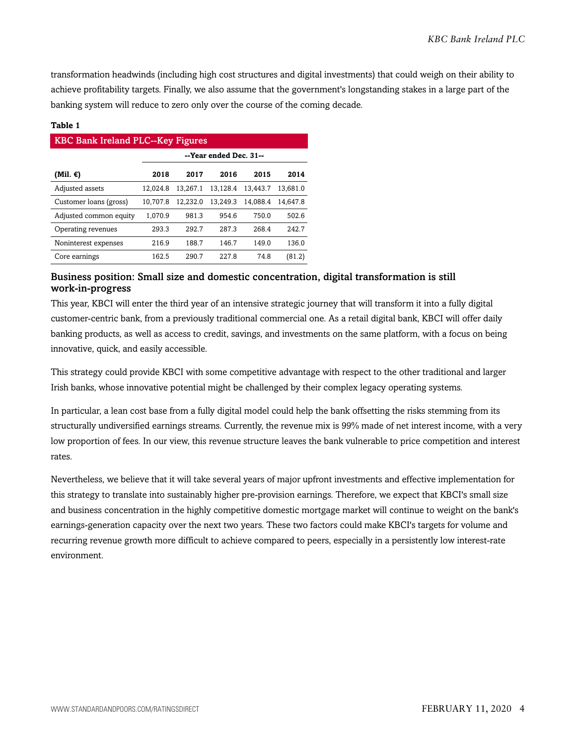transformation headwinds (including high cost structures and digital investments) that could weigh on their ability to achieve profitability targets. Finally, we also assume that the government's longstanding stakes in a large part of the banking system will reduce to zero only over the course of the coming decade.

#### **Table 1**

| <b>KBC Bank Ireland PLC--Key Figures</b> |                        |          |          |          |          |  |  |  |  |
|------------------------------------------|------------------------|----------|----------|----------|----------|--|--|--|--|
|                                          | --Year ended Dec. 31-- |          |          |          |          |  |  |  |  |
| (Mil. €)                                 | 2018                   | 2017     | 2016     | 2015     | 2014     |  |  |  |  |
| Adjusted assets                          | 12.024.8               | 13.267.1 | 13.128.4 | 13.443.7 | 13.681.0 |  |  |  |  |
| Customer loans (gross)                   | 10.707.8               | 12.232.0 | 13.249.3 | 14.088.4 | 14.647.8 |  |  |  |  |
| Adjusted common equity                   | 1.070.9                | 981.3    | 954.6    | 750.0    | 502.6    |  |  |  |  |
| Operating revenues                       | 293.3                  | 292.7    | 287.3    | 268.4    | 242.7    |  |  |  |  |
| Noninterest expenses                     | 216.9                  | 188.7    | 146.7    | 149.0    | 136.0    |  |  |  |  |
| Core earnings                            | 162.5                  | 290.7    | 227.8    | 74.8     | (81.2)   |  |  |  |  |

#### Business position: Small size and domestic concentration, digital transformation is still work-in-progress

This year, KBCI will enter the third year of an intensive strategic journey that will transform it into a fully digital customer-centric bank, from a previously traditional commercial one. As a retail digital bank, KBCI will offer daily banking products, as well as access to credit, savings, and investments on the same platform, with a focus on being innovative, quick, and easily accessible.

This strategy could provide KBCI with some competitive advantage with respect to the other traditional and larger Irish banks, whose innovative potential might be challenged by their complex legacy operating systems.

In particular, a lean cost base from a fully digital model could help the bank offsetting the risks stemming from its structurally undiversified earnings streams. Currently, the revenue mix is 99% made of net interest income, with a very low proportion of fees. In our view, this revenue structure leaves the bank vulnerable to price competition and interest rates.

Nevertheless, we believe that it will take several years of major upfront investments and effective implementation for this strategy to translate into sustainably higher pre-provision earnings. Therefore, we expect that KBCI's small size and business concentration in the highly competitive domestic mortgage market will continue to weight on the bank's earnings-generation capacity over the next two years. These two factors could make KBCI's targets for volume and recurring revenue growth more difficult to achieve compared to peers, especially in a persistently low interest-rate environment.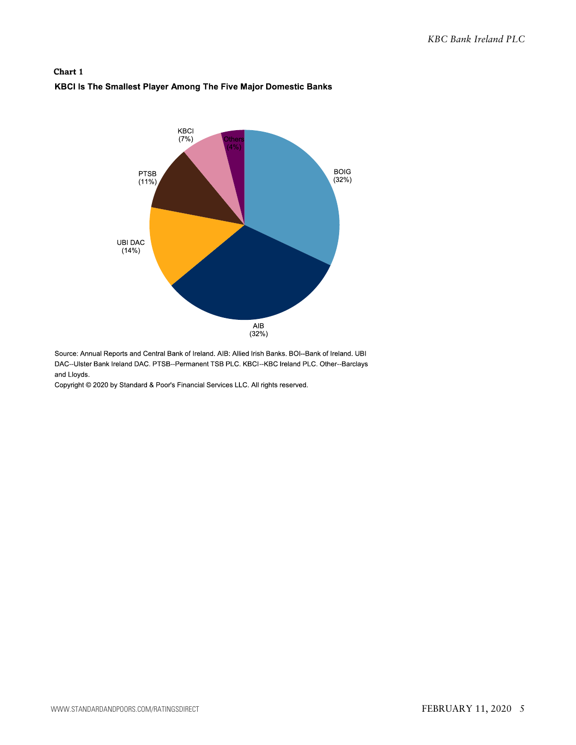#### **Chart 1** KBCI Is The Smallest Player Among The Five Major Domestic Banks



Source: Annual Reports and Central Bank of Ireland. AIB: Allied Irish Banks. BOI--Bank of Ireland. UBI DAC--Ulster Bank Ireland DAC. PTSB--Permanent TSB PLC. KBCI--KBC Ireland PLC. Other--Barclays and Lloyds.

Copyright © 2020 by Standard & Poor's Financial Services LLC. All rights reserved.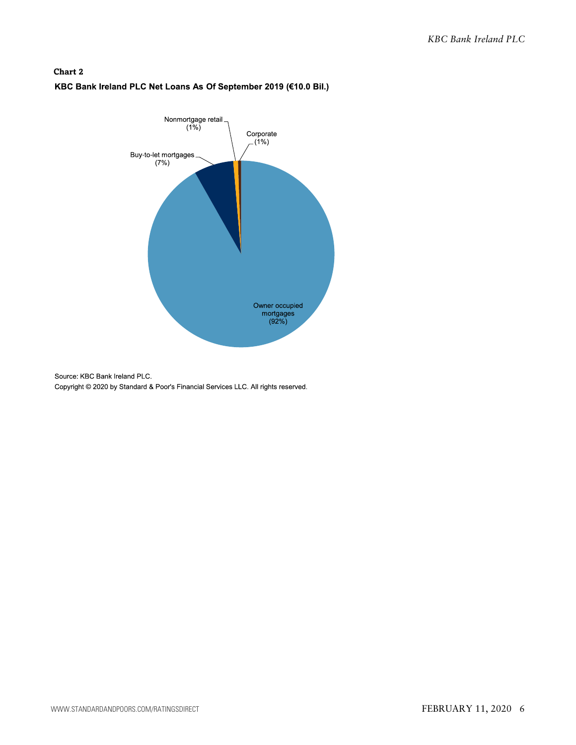### **Chart 2** KBC Bank Ireland PLC Net Loans As Of September 2019 (€10.0 Bil.)



Source: KBC Bank Ireland PLC. Copyright @ 2020 by Standard & Poor's Financial Services LLC. All rights reserved.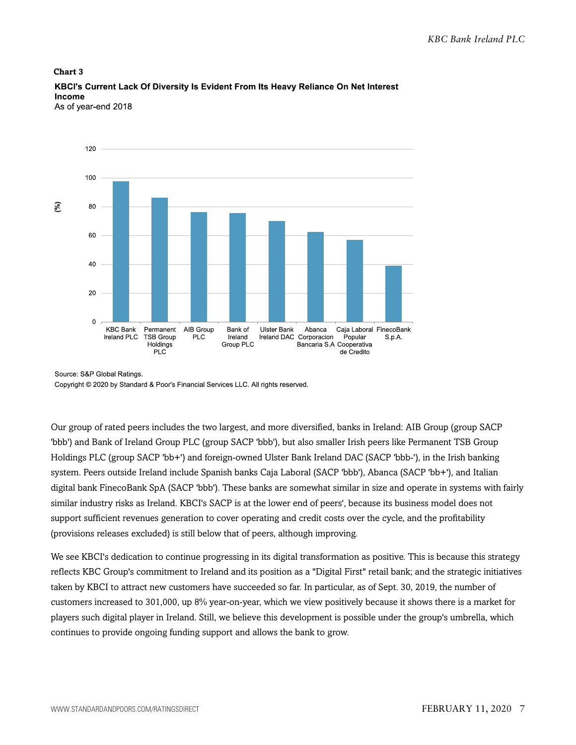

KBCI's Current Lack Of Diversity Is Evident From Its Heavy Reliance On Net Interest Income As of year-end 2018

**Chart 3**

Source: S&P Global Ratings. Copyright © 2020 by Standard & Poor's Financial Services LLC. All rights reserved.

Our group of rated peers includes the two largest, and more diversified, banks in Ireland: AIB Group (group SACP 'bbb') and Bank of Ireland Group PLC (group SACP 'bbb'), but also smaller Irish peers like Permanent TSB Group Holdings PLC (group SACP 'bb+') and foreign-owned Ulster Bank Ireland DAC (SACP 'bbb-'), in the Irish banking system. Peers outside Ireland include Spanish banks Caja Laboral (SACP 'bbb'), Abanca (SACP 'bb+'), and Italian digital bank FinecoBank SpA (SACP 'bbb'). These banks are somewhat similar in size and operate in systems with fairly similar industry risks as Ireland. KBCI's SACP is at the lower end of peers', because its business model does not support sufficient revenues generation to cover operating and credit costs over the cycle, and the profitability (provisions releases excluded) is still below that of peers, although improving.

We see KBCI's dedication to continue progressing in its digital transformation as positive. This is because this strategy reflects KBC Group's commitment to Ireland and its position as a "Digital First" retail bank; and the strategic initiatives taken by KBCI to attract new customers have succeeded so far. In particular, as of Sept. 30, 2019, the number of customers increased to 301,000, up 8% year-on-year, which we view positively because it shows there is a market for players such digital player in Ireland. Still, we believe this development is possible under the group's umbrella, which continues to provide ongoing funding support and allows the bank to grow.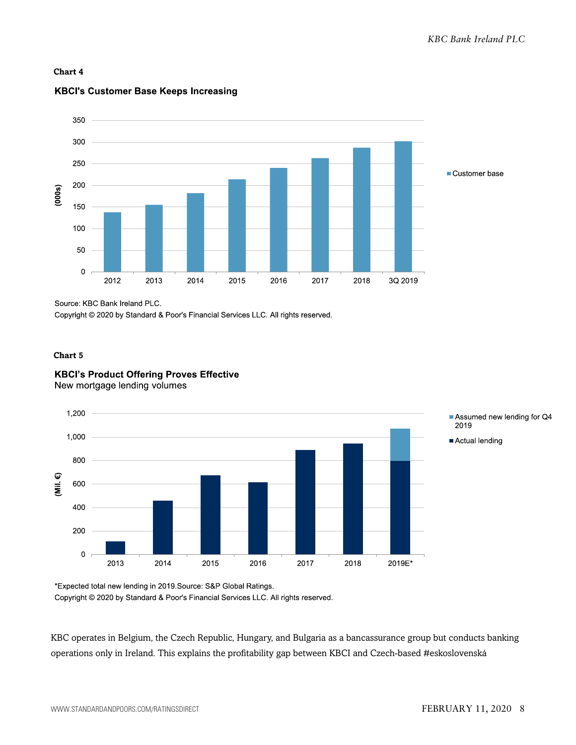#### **Chart 4**



#### **KBCI's Customer Base Keeps Increasing**

Source: KBC Bank Ireland PLC.

Copyright © 2020 by Standard & Poor's Financial Services LLC. All rights reserved.

#### **Chart 5**

## **KBCI's Product Offering Proves Effective**

New mortgage lending volumes



Assumed new lending for Q4 2019

Actual lending

\*Expected total new lending in 2019.Source: S&P Global Ratings. Copyright © 2020 by Standard & Poor's Financial Services LLC. All rights reserved.

KBC operates in Belgium, the Czech Republic, Hungary, and Bulgaria as a bancassurance group but conducts banking operations only in Ireland. This explains the profitability gap between KBCI and Czech-based #eskoslovenská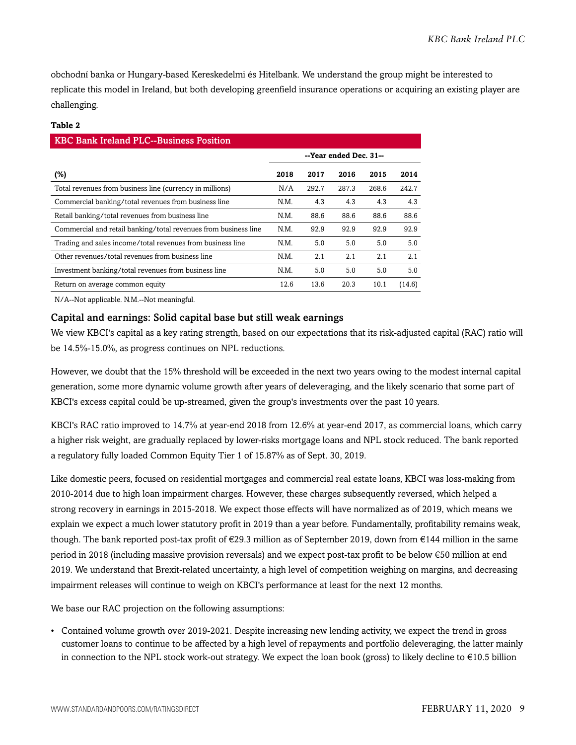obchodní banka or Hungary-based Kereskedelmi és Hitelbank. We understand the group might be interested to replicate this model in Ireland, but both developing greenfield insurance operations or acquiring an existing player are challenging.

#### **Table 2**

| <b>KBC Bank Ireland PLC--Business Position</b>                  |      |       |                        |       |        |  |  |  |
|-----------------------------------------------------------------|------|-------|------------------------|-------|--------|--|--|--|
|                                                                 |      |       | --Year ended Dec. 31-- |       |        |  |  |  |
| (%)                                                             | 2018 | 2017  | 2016                   | 2015  | 2014   |  |  |  |
| Total revenues from business line (currency in millions)        | N/A  | 292.7 | 287.3                  | 268.6 | 242.7  |  |  |  |
| Commercial banking/total revenues from business line            | N.M. | 4.3   | 4.3                    | 4.3   | 4.3    |  |  |  |
| Retail banking/total revenues from business line                | N.M. | 88.6  | 88.6                   | 88.6  | 88.6   |  |  |  |
| Commercial and retail banking/total revenues from business line | N.M. | 92.9  | 92.9                   | 92.9  | 92.9   |  |  |  |
| Trading and sales income/total revenues from business line      | N.M. | 5.0   | 5.0                    | 5.0   | 5.0    |  |  |  |
| Other revenues/total revenues from business line                | N.M. | 2.1   | 2.1                    | 2.1   | 2.1    |  |  |  |
| Investment banking/total revenues from business line            | N.M. | 5.0   | 5.0                    | 5.0   | 5.0    |  |  |  |
| Return on average common equity                                 | 12.6 | 13.6  | 20.3                   | 10.1  | (14.6) |  |  |  |

N/A--Not applicable. N.M.--Not meaningful.

#### Capital and earnings: Solid capital base but still weak earnings

We view KBCI's capital as a key rating strength, based on our expectations that its risk-adjusted capital (RAC) ratio will be 14.5%-15.0%, as progress continues on NPL reductions.

However, we doubt that the 15% threshold will be exceeded in the next two years owing to the modest internal capital generation, some more dynamic volume growth after years of deleveraging, and the likely scenario that some part of KBCI's excess capital could be up-streamed, given the group's investments over the past 10 years.

KBCI's RAC ratio improved to 14.7% at year-end 2018 from 12.6% at year-end 2017, as commercial loans, which carry a higher risk weight, are gradually replaced by lower-risks mortgage loans and NPL stock reduced. The bank reported a regulatory fully loaded Common Equity Tier 1 of 15.87% as of Sept. 30, 2019.

Like domestic peers, focused on residential mortgages and commercial real estate loans, KBCI was loss-making from 2010-2014 due to high loan impairment charges. However, these charges subsequently reversed, which helped a strong recovery in earnings in 2015-2018. We expect those effects will have normalized as of 2019, which means we explain we expect a much lower statutory profit in 2019 than a year before. Fundamentally, profitability remains weak, though. The bank reported post-tax profit of  $\epsilon$ 29.3 million as of September 2019, down from  $\epsilon$ 144 million in the same period in 2018 (including massive provision reversals) and we expect post-tax profit to be below €50 million at end 2019. We understand that Brexit-related uncertainty, a high level of competition weighing on margins, and decreasing impairment releases will continue to weigh on KBCI's performance at least for the next 12 months.

We base our RAC projection on the following assumptions:

• Contained volume growth over 2019-2021. Despite increasing new lending activity, we expect the trend in gross customer loans to continue to be affected by a high level of repayments and portfolio deleveraging, the latter mainly in connection to the NPL stock work-out strategy. We expect the loan book (gross) to likely decline to €10.5 billion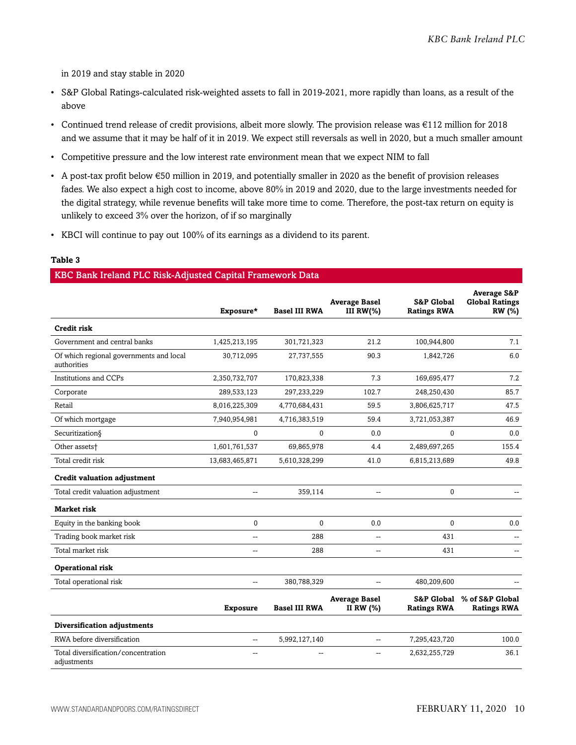in 2019 and stay stable in 2020

- S&P Global Ratings-calculated risk-weighted assets to fall in 2019-2021, more rapidly than loans, as a result of the above
- Continued trend release of credit provisions, albeit more slowly. The provision release was €112 million for 2018 and we assume that it may be half of it in 2019. We expect still reversals as well in 2020, but a much smaller amount
- Competitive pressure and the low interest rate environment mean that we expect NIM to fall
- A post-tax profit below €50 million in 2019, and potentially smaller in 2020 as the benefit of provision releases fades. We also expect a high cost to income, above 80% in 2019 and 2020, due to the large investments needed for the digital strategy, while revenue benefits will take more time to come. Therefore, the post-tax return on equity is unlikely to exceed 3% over the horizon, of if so marginally
- KBCI will continue to pay out 100% of its earnings as a dividend to its parent.

#### **Table 3**

#### KBC Bank Ireland PLC Risk-Adjusted Capital Framework Data

|                                                        | Exposure*                | <b>Basel III RWA</b> | <b>Average Basel</b><br>III $RW(\%)$ | <b>S&amp;P Global</b><br><b>Ratings RWA</b> | <b>Average S&amp;P</b><br><b>Global Ratings</b><br><b>RW</b> (%) |
|--------------------------------------------------------|--------------------------|----------------------|--------------------------------------|---------------------------------------------|------------------------------------------------------------------|
| Credit risk                                            |                          |                      |                                      |                                             |                                                                  |
| Government and central banks                           | 1,425,213,195            | 301,721,323          | 21.2                                 | 100,944,800                                 | 7.1                                                              |
| Of which regional governments and local<br>authorities | 30,712,095               | 27,737,555           | 90.3                                 | 1,842,726                                   | 6.0                                                              |
| Institutions and CCPs                                  | 2,350,732,707            | 170,823,338          | 7.3                                  | 169,695,477                                 | 7.2                                                              |
| Corporate                                              | 289,533,123              | 297,233,229          | 102.7                                | 248,250,430                                 | 85.7                                                             |
| Retail                                                 | 8,016,225,309            | 4,770,684,431        | 59.5                                 | 3,806,625,717                               | 47.5                                                             |
| Of which mortgage                                      | 7,940,954,981            | 4,716,383,519        | 59.4                                 | 3,721,053,387                               | 46.9                                                             |
| Securitization§                                        | $\mathbf{0}$             | $\Omega$             | 0.0                                  | $\Omega$                                    | 0.0                                                              |
| Other assets <sup>+</sup>                              | 1,601,761,537            | 69,865,978           | 4.4                                  | 2,489,697,265                               | 155.4                                                            |
| Total credit risk                                      | 13,683,465,871           | 5,610,328,299        | 41.0                                 | 6,815,213,689                               | 49.8                                                             |
| <b>Credit valuation adjustment</b>                     |                          |                      |                                      |                                             |                                                                  |
| Total credit valuation adjustment                      | $\overline{\phantom{a}}$ | 359,114              | $\overline{\phantom{a}}$             | $\mathbf{0}$                                |                                                                  |
| Market risk                                            |                          |                      |                                      |                                             |                                                                  |
| Equity in the banking book                             | $\pmb{0}$                | $\Omega$             | 0.0                                  | $\Omega$                                    | 0.0                                                              |
| Trading book market risk                               | $\overline{a}$           | 288                  | $\overline{\phantom{a}}$             | 431                                         |                                                                  |
| Total market risk                                      | $\mathbf{u}$             | 288                  | $\overline{\phantom{a}}$             | 431                                         | $-$                                                              |
| <b>Operational risk</b>                                |                          |                      |                                      |                                             |                                                                  |
| Total operational risk                                 | $\mathbf{u}$             | 380,788,329          | $\overline{\phantom{a}}$             | 480,209,600                                 |                                                                  |
|                                                        | <b>Exposure</b>          | <b>Basel III RWA</b> | <b>Average Basel</b><br>II RW $(%)$  | <b>S&amp;P Global</b><br><b>Ratings RWA</b> | % of S&P Global<br><b>Ratings RWA</b>                            |
| Diversification adjustments                            |                          |                      |                                      |                                             |                                                                  |
| RWA before diversification                             | $\overline{a}$           | 5,992,127,140        | --                                   | 7,295,423,720                               | 100.0                                                            |
| Total diversification/concentration<br>adjustments     | --                       |                      |                                      | 2,632,255,729                               | 36.1                                                             |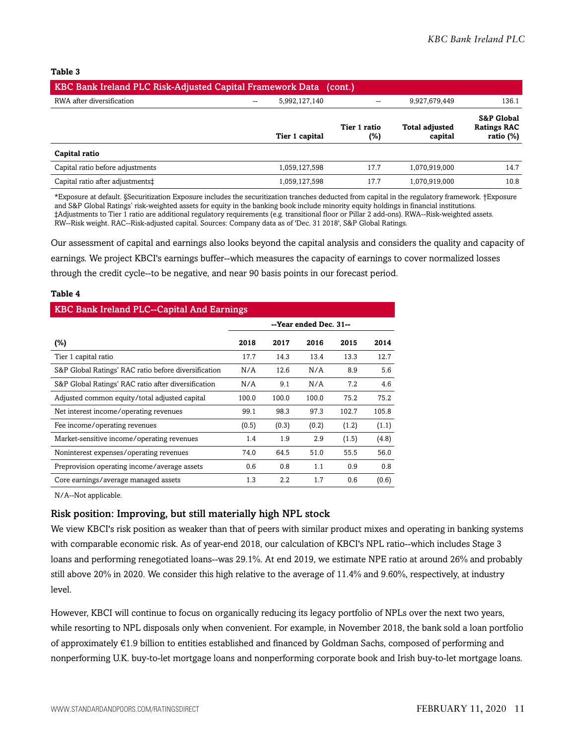#### **Table 3**

| KBC Bank Ireland PLC Risk-Adjusted Capital Framework Data (cont.) |                                           |                     |                                  |                                                             |  |  |  |  |
|-------------------------------------------------------------------|-------------------------------------------|---------------------|----------------------------------|-------------------------------------------------------------|--|--|--|--|
| RWA after diversification                                         | 5,992,127,140<br>$\overline{\phantom{m}}$ | --                  | 9,927,679,449                    | 136.1                                                       |  |  |  |  |
|                                                                   | Tier 1 capital                            | Tier 1 ratio<br>(%) | <b>Total adjusted</b><br>capital | <b>S&amp;P Global</b><br><b>Ratings RAC</b><br>ratio $(\%)$ |  |  |  |  |
| Capital ratio                                                     |                                           |                     |                                  |                                                             |  |  |  |  |
| Capital ratio before adjustments                                  | 1,059,127,598                             | 17.7                | 1,070,919,000                    | 14.7                                                        |  |  |  |  |
| Capital ratio after adjustments:                                  | 1,059,127,598                             | 17.7                | 1,070,919,000                    | 10.8                                                        |  |  |  |  |

\*Exposure at default. §Securitization Exposure includes the securitization tranches deducted from capital in the regulatory framework. †Exposure and S&P Global Ratings' risk-weighted assets for equity in the banking book include minority equity holdings in financial institutions. ‡Adjustments to Tier 1 ratio are additional regulatory requirements (e.g. transitional floor or Pillar 2 add-ons). RWA--Risk-weighted assets. RW--Risk weight. RAC--Risk-adjusted capital. Sources: Company data as of 'Dec. 31 2018', S&P Global Ratings.

Our assessment of capital and earnings also looks beyond the capital analysis and considers the quality and capacity of earnings. We project KBCI's earnings buffer--which measures the capacity of earnings to cover normalized losses through the credit cycle--to be negative, and near 90 basis points in our forecast period.

#### **Table 4**

| <b>KBC Bank Ireland PLC--Capital And Earnings</b>    |                        |       |       |       |       |  |  |  |
|------------------------------------------------------|------------------------|-------|-------|-------|-------|--|--|--|
|                                                      | --Year ended Dec. 31-- |       |       |       |       |  |  |  |
| (%)                                                  | 2018                   | 2017  | 2016  | 2015  | 2014  |  |  |  |
| Tier 1 capital ratio                                 | 17.7                   | 14.3  | 13.4  | 13.3  | 12.7  |  |  |  |
| S&P Global Ratings' RAC ratio before diversification | N/A                    | 12.6  | N/A   | 8.9   | 5.6   |  |  |  |
| S&P Global Ratings' RAC ratio after diversification  | N/A                    | 9.1   | N/A   | 7.2   | 4.6   |  |  |  |
| Adjusted common equity/total adjusted capital        | 100.0                  | 100.0 | 100.0 | 75.2  | 75.2  |  |  |  |
| Net interest income/operating revenues               | 99.1                   | 98.3  | 97.3  | 102.7 | 105.8 |  |  |  |
| Fee income/operating revenues                        | (0.5)                  | (0.3) | (0.2) | (1.2) | (1.1) |  |  |  |
| Market-sensitive income/operating revenues           | 1.4                    | 1.9   | 2.9   | (1.5) | (4.8) |  |  |  |
| Noninterest expenses/operating revenues              | 74.0                   | 64.5  | 51.0  | 55.5  | 56.0  |  |  |  |
| Preprovision operating income/average assets         | 0.6                    | 0.8   | 1.1   | 0.9   | 0.8   |  |  |  |
| Core earnings/average managed assets                 | 1.3                    | 2.2   | 1.7   | 0.6   | (0.6) |  |  |  |

N/A--Not applicable.

#### Risk position: Improving, but still materially high NPL stock

We view KBCI's risk position as weaker than that of peers with similar product mixes and operating in banking systems with comparable economic risk. As of year-end 2018, our calculation of KBCI's NPL ratio--which includes Stage 3 loans and performing renegotiated loans--was 29.1%. At end 2019, we estimate NPE ratio at around 26% and probably still above 20% in 2020. We consider this high relative to the average of 11.4% and 9.60%, respectively, at industry level.

However, KBCI will continue to focus on organically reducing its legacy portfolio of NPLs over the next two years, while resorting to NPL disposals only when convenient. For example, in November 2018, the bank sold a loan portfolio of approximately €1.9 billion to entities established and financed by Goldman Sachs, composed of performing and nonperforming U.K. buy-to-let mortgage loans and nonperforming corporate book and Irish buy-to-let mortgage loans.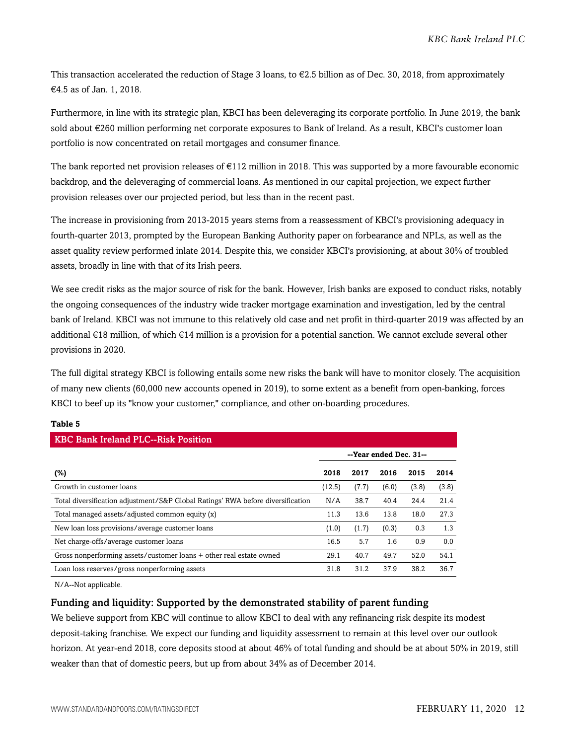This transaction accelerated the reduction of Stage 3 loans, to  $\epsilon$ 2.5 billion as of Dec. 30, 2018, from approximately €4.5 as of Jan. 1, 2018.

Furthermore, in line with its strategic plan, KBCI has been deleveraging its corporate portfolio. In June 2019, the bank sold about €260 million performing net corporate exposures to Bank of Ireland. As a result, KBCI's customer loan portfolio is now concentrated on retail mortgages and consumer finance.

The bank reported net provision releases of €112 million in 2018. This was supported by a more favourable economic backdrop, and the deleveraging of commercial loans. As mentioned in our capital projection, we expect further provision releases over our projected period, but less than in the recent past.

The increase in provisioning from 2013-2015 years stems from a reassessment of KBCI's provisioning adequacy in fourth-quarter 2013, prompted by the European Banking Authority paper on forbearance and NPLs, as well as the asset quality review performed inlate 2014. Despite this, we consider KBCI's provisioning, at about 30% of troubled assets, broadly in line with that of its Irish peers.

We see credit risks as the major source of risk for the bank. However, Irish banks are exposed to conduct risks, notably the ongoing consequences of the industry wide tracker mortgage examination and investigation, led by the central bank of Ireland. KBCI was not immune to this relatively old case and net profit in third-quarter 2019 was affected by an additional €18 million, of which €14 million is a provision for a potential sanction. We cannot exclude several other provisions in 2020.

The full digital strategy KBCI is following entails some new risks the bank will have to monitor closely. The acquisition of many new clients (60,000 new accounts opened in 2019), to some extent as a benefit from open-banking, forces KBCI to beef up its "know your customer," compliance, and other on-boarding procedures.

| <b>KBC Bank Ireland PLC--Risk Position</b>                                      |        |       |                        |       |       |  |  |  |
|---------------------------------------------------------------------------------|--------|-------|------------------------|-------|-------|--|--|--|
|                                                                                 |        |       | --Year ended Dec. 31-- |       |       |  |  |  |
| (%)                                                                             | 2018   | 2017  | 2016                   | 2015  | 2014  |  |  |  |
| Growth in customer loans                                                        | (12.5) | (7.7) | (6.0)                  | (3.8) | (3.8) |  |  |  |
| Total diversification adjustment/S&P Global Ratings' RWA before diversification | N/A    | 38.7  | 40.4                   | 24.4  | 21.4  |  |  |  |
| Total managed assets/adjusted common equity (x)                                 | 11.3   | 13.6  | 13.8                   | 18.0  | 27.3  |  |  |  |
| New loan loss provisions/average customer loans                                 | (1.0)  | (1.7) | (0.3)                  | 0.3   | 1.3   |  |  |  |
| Net charge-offs/average customer loans                                          | 16.5   | 5.7   | 1.6                    | 0.9   | 0.0   |  |  |  |
| Gross nonperforming assets/customer loans + other real estate owned             | 29.1   | 40.7  | 49.7                   | 52.0  | 54.1  |  |  |  |
| Loan loss reserves/gross nonperforming assets                                   | 31.8   | 31.2  | 37.9                   | 38.2  | 36.7  |  |  |  |

#### **Table 5**

N/A--Not applicable.

#### Funding and liquidity: Supported by the demonstrated stability of parent funding

We believe support from KBC will continue to allow KBCI to deal with any refinancing risk despite its modest deposit-taking franchise. We expect our funding and liquidity assessment to remain at this level over our outlook horizon. At year-end 2018, core deposits stood at about 46% of total funding and should be at about 50% in 2019, still weaker than that of domestic peers, but up from about 34% as of December 2014.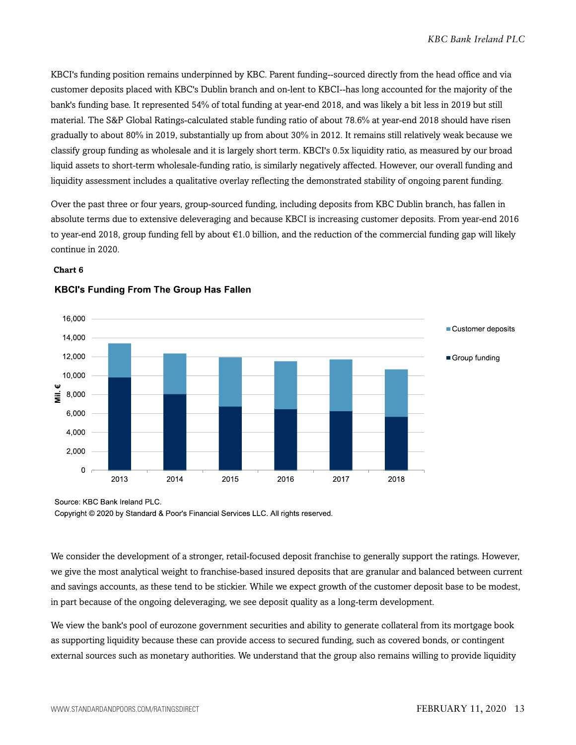KBCI's funding position remains underpinned by KBC. Parent funding--sourced directly from the head office and via customer deposits placed with KBC's Dublin branch and on-lent to KBCI--has long accounted for the majority of the bank's funding base. It represented 54% of total funding at year-end 2018, and was likely a bit less in 2019 but still material. The S&P Global Ratings-calculated stable funding ratio of about 78.6% at year-end 2018 should have risen gradually to about 80% in 2019, substantially up from about 30% in 2012. It remains still relatively weak because we classify group funding as wholesale and it is largely short term. KBCI's 0.5x liquidity ratio, as measured by our broad liquid assets to short-term wholesale-funding ratio, is similarly negatively affected. However, our overall funding and liquidity assessment includes a qualitative overlay reflecting the demonstrated stability of ongoing parent funding.

Over the past three or four years, group-sourced funding, including deposits from KBC Dublin branch, has fallen in absolute terms due to extensive deleveraging and because KBCI is increasing customer deposits. From year-end 2016 to year-end 2018, group funding fell by about €1.0 billion, and the reduction of the commercial funding gap will likely continue in 2020.

#### **Chart 6**



#### **KBCI's Funding From The Group Has Fallen**

Source: KBC Bank Ireland PLC.

Copyright © 2020 by Standard & Poor's Financial Services LLC. All rights reserved.

We consider the development of a stronger, retail-focused deposit franchise to generally support the ratings. However, we give the most analytical weight to franchise-based insured deposits that are granular and balanced between current and savings accounts, as these tend to be stickier. While we expect growth of the customer deposit base to be modest, in part because of the ongoing deleveraging, we see deposit quality as a long-term development.

We view the bank's pool of eurozone government securities and ability to generate collateral from its mortgage book as supporting liquidity because these can provide access to secured funding, such as covered bonds, or contingent external sources such as monetary authorities. We understand that the group also remains willing to provide liquidity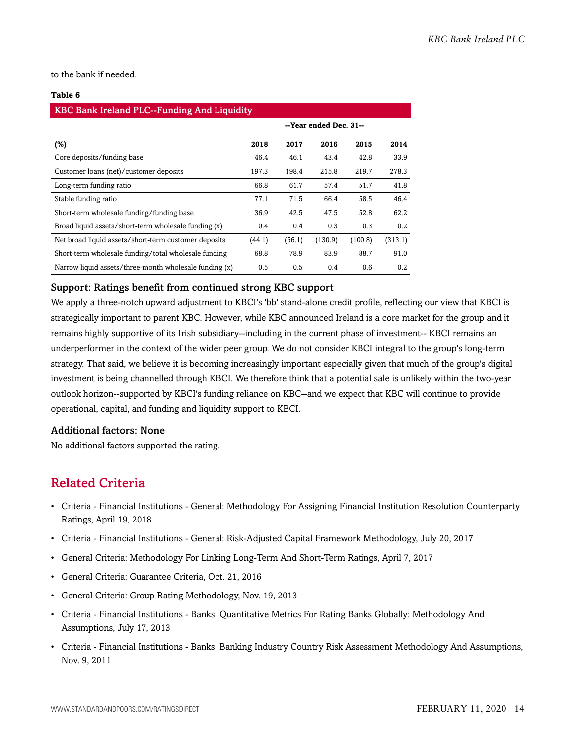to the bank if needed.

#### **Table 6**

| <b>KBC Bank Ireland PLC--Funding And Liquidity</b>     |                        |        |         |         |         |  |  |  |
|--------------------------------------------------------|------------------------|--------|---------|---------|---------|--|--|--|
|                                                        | --Year ended Dec. 31-- |        |         |         |         |  |  |  |
| (%)                                                    | 2018                   | 2017   | 2016    | 2015    | 2014    |  |  |  |
| Core deposits/funding base                             | 46.4                   | 46.1   | 43.4    | 42.8    | 33.9    |  |  |  |
| Customer loans (net)/customer deposits                 | 197.3                  | 198.4  | 215.8   | 219.7   | 278.3   |  |  |  |
| Long-term funding ratio                                | 66.8                   | 61.7   | 57.4    | 51.7    | 41.8    |  |  |  |
| Stable funding ratio                                   | 77.1                   | 71.5   | 66.4    | 58.5    | 46.4    |  |  |  |
| Short-term wholesale funding/funding base              | 36.9                   | 42.5   | 47.5    | 52.8    | 62.2    |  |  |  |
| Broad liquid assets/short-term wholesale funding (x)   | 0.4                    | 0.4    | 0.3     | 0.3     | 0.2     |  |  |  |
| Net broad liquid assets/short-term customer deposits   | (44.1)                 | (56.1) | (130.9) | (100.8) | (313.1) |  |  |  |
| Short-term wholesale funding/total wholesale funding   | 68.8                   | 78.9   | 83.9    | 88.7    | 91.0    |  |  |  |
| Narrow liquid assets/three-month wholesale funding (x) | 0.5                    | 0.5    | 0.4     | 0.6     | 0.2     |  |  |  |

#### Support: Ratings benefit from continued strong KBC support

We apply a three-notch upward adjustment to KBCI's 'bb' stand-alone credit profile, reflecting our view that KBCI is strategically important to parent KBC. However, while KBC announced Ireland is a core market for the group and it remains highly supportive of its Irish subsidiary--including in the current phase of investment-- KBCI remains an underperformer in the context of the wider peer group. We do not consider KBCI integral to the group's long-term strategy. That said, we believe it is becoming increasingly important especially given that much of the group's digital investment is being channelled through KBCI. We therefore think that a potential sale is unlikely within the two-year outlook horizon--supported by KBCI's funding reliance on KBC--and we expect that KBC will continue to provide operational, capital, and funding and liquidity support to KBCI.

#### Additional factors: None

<span id="page-13-0"></span>No additional factors supported the rating.

### Related Criteria

- Criteria Financial Institutions General: Methodology For Assigning Financial Institution Resolution Counterparty Ratings, April 19, 2018
- Criteria Financial Institutions General: Risk-Adjusted Capital Framework Methodology, July 20, 2017
- General Criteria: Methodology For Linking Long-Term And Short-Term Ratings, April 7, 2017
- General Criteria: Guarantee Criteria, Oct. 21, 2016
- General Criteria: Group Rating Methodology, Nov. 19, 2013
- Criteria Financial Institutions Banks: Quantitative Metrics For Rating Banks Globally: Methodology And Assumptions, July 17, 2013
- Criteria Financial Institutions Banks: Banking Industry Country Risk Assessment Methodology And Assumptions, Nov. 9, 2011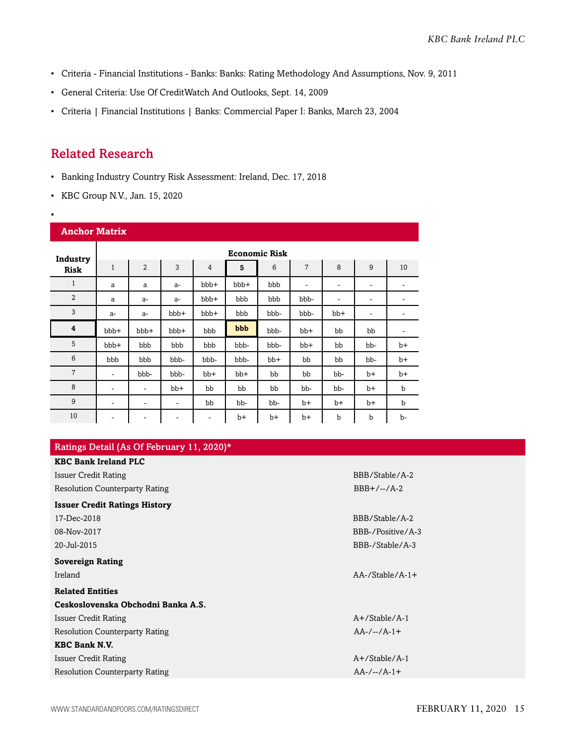- Criteria Financial Institutions Banks: Banks: Rating Methodology And Assumptions, Nov. 9, 2011
- General Criteria: Use Of CreditWatch And Outlooks, Sept. 14, 2009
- Criteria | Financial Institutions | Banks: Commercial Paper I: Banks, March 23, 2004

# <span id="page-14-0"></span>Related Research

•

- Banking Industry Country Risk Assessment: Ireland, Dec. 17, 2018
- KBC Group N.V., Jan. 15, 2020

| <b>Anchor Matrix</b> |                |                      |       |       |       |       |                |      |                          |             |
|----------------------|----------------|----------------------|-------|-------|-------|-------|----------------|------|--------------------------|-------------|
| Industry             |                | <b>Economic Risk</b> |       |       |       |       |                |      |                          |             |
| <b>Risk</b>          | $\mathbf{1}$   | $\overline{2}$       | 3     | 4     | 5     | 6     | $\overline{7}$ | 8    | 9                        | 10          |
| $\mathbf{1}$         | a              | a                    | $a-$  | bbb+  | bbb+  | bbb   | ۰              | ۰    | ۰                        | ۰           |
| $\overline{2}$       | a              | $a-$                 | $a-$  | bbb+  | bbb   | bbb   | bbb-           | ۰    | ۰                        | ٠           |
| 3                    | $a-$           | $a-$                 | bbb+  | bbb+  | bbb   | bbb-  | bbb-           | bb+  | $\overline{\phantom{a}}$ | ۰           |
| 4                    | $bbb+$         | $bbb+$               | bbb+  | bbb   | bbb   | bbb-  | bb+            | bb   | bb                       | -           |
| 5                    | bbb+           | bbb                  | bbb   | bbb   | bbb-  | bbb-  | $bb+$          | bb   | bb-                      | $b+$        |
| 6                    | bbb            | bbb                  | bbb-  | bbb-  | bbb-  | $bb+$ | bb             | bb   | bb-                      | $b+$        |
| $\overline{7}$       | $\overline{a}$ | bbb-                 | bbb-  | $bb+$ | $bb+$ | bb    | bb             | bb-  | b+                       | $b+$        |
| 8                    | ۰              | ۰                    | $bb+$ | bb    | bb    | bb    | bb-            | bb-  | b+                       | $\mathbf b$ |
| 9                    | -              | -                    | ۰     | bb    | bb-   | bb-   | $b+$           | $b+$ | $b+$                     | $\mathbf b$ |
| 10                   | ۰              |                      | -     | -     | $b+$  | b+    | b+             | b    | b                        | b-          |

| Ratings Detail (As Of February 11, 2020)* |                        |  |
|-------------------------------------------|------------------------|--|
| <b>KBC Bank Ireland PLC</b>               |                        |  |
| <b>Issuer Credit Rating</b>               | BBB/Stable/A-2         |  |
| <b>Resolution Counterparty Rating</b>     | $BBB+/-/A-2$           |  |
| <b>Issuer Credit Ratings History</b>      |                        |  |
| 17-Dec-2018                               | BBB/Stable/A-2         |  |
| 08-Nov-2017                               | BBB-/Positive/A-3      |  |
| 20-Jul-2015                               | BBB-/Stable/A-3        |  |
| <b>Sovereign Rating</b>                   |                        |  |
| Ireland                                   | $AA$ -/Stable/ $A$ -1+ |  |
| <b>Related Entities</b>                   |                        |  |
| Ceskoslovenska Obchodni Banka A.S.        |                        |  |
| Issuer Credit Rating                      | $A+$ /Stable/A-1       |  |
| <b>Resolution Counterparty Rating</b>     | $AA-/-/A-1+$           |  |
| <b>KBC Bank N.V.</b>                      |                        |  |
| <b>Issuer Credit Rating</b>               | $A+$ /Stable/A-1       |  |
| <b>Resolution Counterparty Rating</b>     | $AA-/-/A-1+$           |  |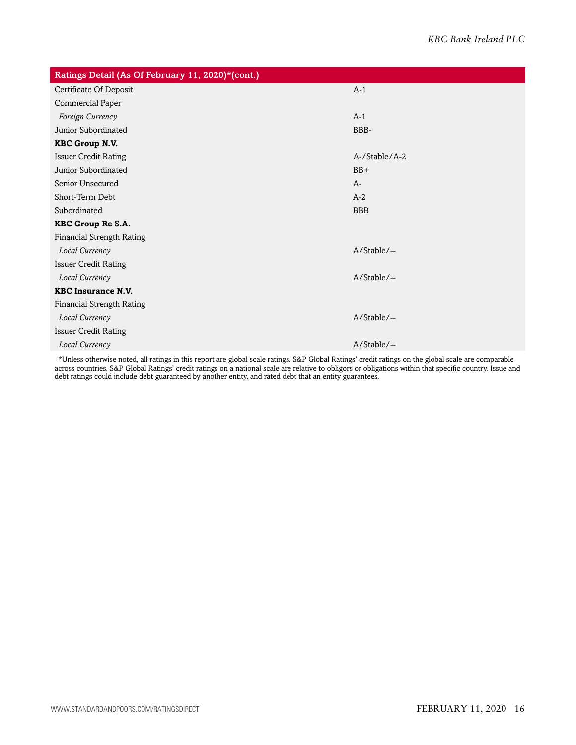| Ratings Detail (As Of February 11, 2020)*(cont.) |                |  |  |  |  |
|--------------------------------------------------|----------------|--|--|--|--|
| Certificate Of Deposit                           | $A-1$          |  |  |  |  |
| Commercial Paper                                 |                |  |  |  |  |
| Foreign Currency                                 | $A-1$          |  |  |  |  |
| Junior Subordinated                              | BBB-           |  |  |  |  |
| <b>KBC Group N.V.</b>                            |                |  |  |  |  |
| <b>Issuer Credit Rating</b>                      | A-/Stable/A-2  |  |  |  |  |
| Junior Subordinated                              | $BB+$          |  |  |  |  |
| Senior Unsecured                                 | $A-$           |  |  |  |  |
| Short-Term Debt                                  | $A-2$          |  |  |  |  |
| Subordinated                                     | <b>BBB</b>     |  |  |  |  |
| KBC Group Re S.A.                                |                |  |  |  |  |
| <b>Financial Strength Rating</b>                 |                |  |  |  |  |
| Local Currency                                   | A/Stable/--    |  |  |  |  |
| <b>Issuer Credit Rating</b>                      |                |  |  |  |  |
| Local Currency                                   | $A/Stable/$ -- |  |  |  |  |
| <b>KBC Insurance N.V.</b>                        |                |  |  |  |  |
| <b>Financial Strength Rating</b>                 |                |  |  |  |  |
| Local Currency                                   | A/Stable/--    |  |  |  |  |
| <b>Issuer Credit Rating</b>                      |                |  |  |  |  |
| Local Currency                                   | A/Stable/--    |  |  |  |  |

\*Unless otherwise noted, all ratings in this report are global scale ratings. S&P Global Ratings' credit ratings on the global scale are comparable across countries. S&P Global Ratings' credit ratings on a national scale are relative to obligors or obligations within that specific country. Issue and debt ratings could include debt guaranteed by another entity, and rated debt that an entity guarantees.